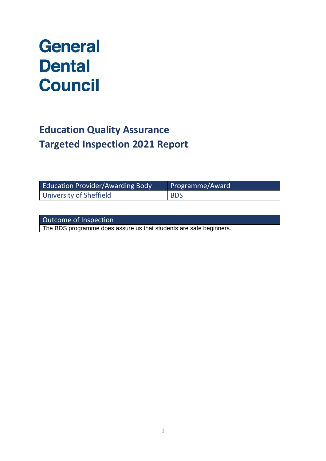# **General Dental Council**

# **Education Quality Assurance Targeted Inspection 2021 Report**

| <b>Education Provider/Awarding Body</b> | Programme/Award |
|-----------------------------------------|-----------------|
| University of Sheffield                 | <b>BDS</b>      |

| Outcome of Inspection                                              |  |
|--------------------------------------------------------------------|--|
| The BDS programme does assure us that students are safe beginners. |  |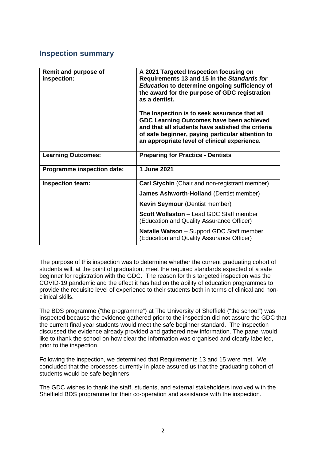## **Inspection summary**

| Remit and purpose of<br>inspection: | A 2021 Targeted Inspection focusing on<br>Requirements 13 and 15 in the Standards for<br><b>Education to determine ongoing sufficiency of</b><br>the award for the purpose of GDC registration<br>as a dentist.<br>The Inspection is to seek assurance that all<br>GDC Learning Outcomes have been achieved<br>and that all students have satisfied the criteria<br>of safe beginner, paying particular attention to<br>an appropriate level of clinical experience. |
|-------------------------------------|----------------------------------------------------------------------------------------------------------------------------------------------------------------------------------------------------------------------------------------------------------------------------------------------------------------------------------------------------------------------------------------------------------------------------------------------------------------------|
| <b>Learning Outcomes:</b>           | <b>Preparing for Practice - Dentists</b>                                                                                                                                                                                                                                                                                                                                                                                                                             |
| <b>Programme inspection date:</b>   | 1 June 2021                                                                                                                                                                                                                                                                                                                                                                                                                                                          |
| Inspection team:                    | Carl Stychin (Chair and non-registrant member)                                                                                                                                                                                                                                                                                                                                                                                                                       |
|                                     | <b>James Ashworth-Holland (Dentist member)</b>                                                                                                                                                                                                                                                                                                                                                                                                                       |
|                                     | <b>Kevin Seymour</b> (Dentist member)                                                                                                                                                                                                                                                                                                                                                                                                                                |
|                                     | Scott Wollaston - Lead GDC Staff member<br>(Education and Quality Assurance Officer)                                                                                                                                                                                                                                                                                                                                                                                 |
|                                     | <b>Natalie Watson</b> - Support GDC Staff member<br>(Education and Quality Assurance Officer)                                                                                                                                                                                                                                                                                                                                                                        |

The purpose of this inspection was to determine whether the current graduating cohort of students will, at the point of graduation, meet the required standards expected of a safe beginner for registration with the GDC. The reason for this targeted inspection was the COVID-19 pandemic and the effect it has had on the ability of education programmes to provide the requisite level of experience to their students both in terms of clinical and nonclinical skills.

The BDS programme ("the programme") at The University of Sheffield ("the school") was inspected because the evidence gathered prior to the inspection did not assure the GDC that the current final year students would meet the safe beginner standard. The inspection discussed the evidence already provided and gathered new information. The panel would like to thank the school on how clear the information was organised and clearly labelled, prior to the inspection.

Following the inspection, we determined that Requirements 13 and 15 were met. We concluded that the processes currently in place assured us that the graduating cohort of students would be safe beginners.

The GDC wishes to thank the staff, students, and external stakeholders involved with the Sheffield BDS programme for their co-operation and assistance with the inspection.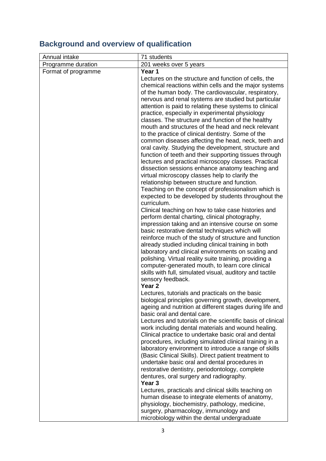# **Background and overview of qualification**

| 201 weeks over 5 years                                                                                   |
|----------------------------------------------------------------------------------------------------------|
|                                                                                                          |
|                                                                                                          |
| Lectures on the structure and function of cells, the                                                     |
| chemical reactions within cells and the major systems                                                    |
| of the human body. The cardiovascular, respiratory,                                                      |
| nervous and renal systems are studied but particular                                                     |
| attention is paid to relating these systems to clinical                                                  |
| practice, especially in experimental physiology                                                          |
| classes. The structure and function of the healthy                                                       |
| mouth and structures of the head and neck relevant                                                       |
| to the practice of clinical dentistry. Some of the                                                       |
| common diseases affecting the head, neck, teeth and                                                      |
| oral cavity. Studying the development, structure and                                                     |
| function of teeth and their supporting tissues through                                                   |
| lectures and practical microscopy classes. Practical<br>dissection sessions enhance anatomy teaching and |
| virtual microscopy classes help to clarify the                                                           |
| relationship between structure and function.                                                             |
| Teaching on the concept of professionalism which is                                                      |
| expected to be developed by students throughout the                                                      |
|                                                                                                          |
| Clinical teaching on how to take case histories and                                                      |
| perform dental charting, clinical photography,                                                           |
| impression taking and an intensive course on some                                                        |
| basic restorative dental techniques which will                                                           |
| reinforce much of the study of structure and function                                                    |
| already studied including clinical training in both                                                      |
| laboratory and clinical environments on scaling and                                                      |
| polishing. Virtual reality suite training, providing a                                                   |
| computer-generated mouth, to learn core clinical                                                         |
| skills with full, simulated visual, auditory and tactile                                                 |
|                                                                                                          |
| Lectures, tutorials and practicals on the basic                                                          |
| biological principles governing growth, development,                                                     |
| ageing and nutrition at different stages during life and                                                 |
| basic oral and dental care.                                                                              |
| Lectures and tutorials on the scientific basis of clinical                                               |
| work including dental materials and wound healing.                                                       |
| Clinical practice to undertake basic oral and dental                                                     |
| procedures, including simulated clinical training in a                                                   |
| laboratory environment to introduce a range of skills                                                    |
| (Basic Clinical Skills). Direct patient treatment to                                                     |
| undertake basic oral and dental procedures in                                                            |
| restorative dentistry, periodontology, complete                                                          |
| dentures, oral surgery and radiography.                                                                  |
|                                                                                                          |
| Lectures, practicals and clinical skills teaching on                                                     |
| human disease to integrate elements of anatomy,                                                          |
| physiology, biochemistry, pathology, medicine,<br>surgery, pharmacology, immunology and                  |
| microbiology within the dental undergraduate                                                             |
|                                                                                                          |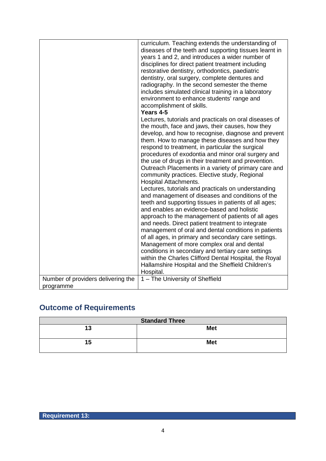|                                                 | curriculum. Teaching extends the understanding of<br>diseases of the teeth and supporting tissues learnt in<br>years 1 and 2, and introduces a wider number of<br>disciplines for direct patient treatment including<br>restorative dentistry, orthodontics, paediatric<br>dentistry, oral surgery, complete dentures and<br>radiography. In the second semester the theme<br>includes simulated clinical training in a laboratory<br>environment to enhance students' range and<br>accomplishment of skills.<br>Years 4-5<br>Lectures, tutorials and practicals on oral diseases of<br>the mouth, face and jaws, their causes, how they<br>develop, and how to recognise, diagnose and prevent<br>them. How to manage these diseases and how they<br>respond to treatment, in particular the surgical<br>procedures of exodontia and minor oral surgery and<br>the use of drugs in their treatment and prevention.<br>Outreach Placements in a variety of primary care and<br>community practices. Elective study, Regional<br><b>Hospital Attachments.</b><br>Lectures, tutorials and practicals on understanding<br>and management of diseases and conditions of the<br>teeth and supporting tissues in patients of all ages;<br>and enables an evidence-based and holistic<br>approach to the management of patients of all ages<br>and needs. Direct patient treatment to integrate<br>management of oral and dental conditions in patients<br>of all ages, in primary and secondary care settings.<br>Management of more complex oral and dental<br>conditions in secondary and tertiary care settings<br>within the Charles Clifford Dental Hospital, the Royal<br>Hallamshire Hospital and the Sheffield Children's |
|-------------------------------------------------|-----------------------------------------------------------------------------------------------------------------------------------------------------------------------------------------------------------------------------------------------------------------------------------------------------------------------------------------------------------------------------------------------------------------------------------------------------------------------------------------------------------------------------------------------------------------------------------------------------------------------------------------------------------------------------------------------------------------------------------------------------------------------------------------------------------------------------------------------------------------------------------------------------------------------------------------------------------------------------------------------------------------------------------------------------------------------------------------------------------------------------------------------------------------------------------------------------------------------------------------------------------------------------------------------------------------------------------------------------------------------------------------------------------------------------------------------------------------------------------------------------------------------------------------------------------------------------------------------------------------------------------------------------------------------------------------------------------------------------|
|                                                 | Hospital.                                                                                                                                                                                                                                                                                                                                                                                                                                                                                                                                                                                                                                                                                                                                                                                                                                                                                                                                                                                                                                                                                                                                                                                                                                                                                                                                                                                                                                                                                                                                                                                                                                                                                                                   |
| Number of providers delivering the<br>programme | 1 - The University of Sheffield                                                                                                                                                                                                                                                                                                                                                                                                                                                                                                                                                                                                                                                                                                                                                                                                                                                                                                                                                                                                                                                                                                                                                                                                                                                                                                                                                                                                                                                                                                                                                                                                                                                                                             |

# **Outcome of Requirements**

| <b>Standard Three</b> |            |
|-----------------------|------------|
| 13                    | <b>Met</b> |
| 15                    | <b>Met</b> |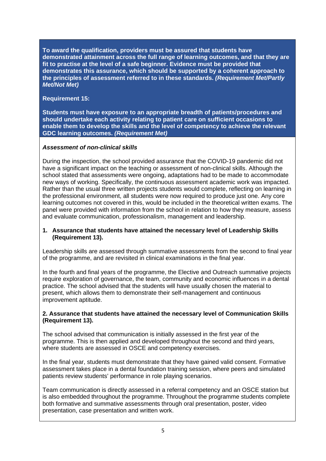**To award the qualification, providers must be assured that students have demonstrated attainment across the full range of learning outcomes, and that they are fit to practise at the level of a safe beginner. Evidence must be provided that demonstrates this assurance, which should be supported by a coherent approach to the principles of assessment referred to in these standards.** *(Requirement Met/Partly Met/Not Met)*

#### **Requirement 15:**

**Students must have exposure to an appropriate breadth of patients/procedures and should undertake each activity relating to patient care on sufficient occasions to enable them to develop the skills and the level of competency to achieve the relevant GDC learning outcomes.** *(Requirement Met)*

#### *Assessment of non-clinical skills*

During the inspection, the school provided assurance that the COVID-19 pandemic did not have a significant impact on the teaching or assessment of non-clinical skills. Although the school stated that assessments were ongoing, adaptations had to be made to accommodate new ways of working. Specifically, the continuous assessment academic work was impacted. Rather than the usual three written projects students would complete, reflecting on learning in the professional environment, all students were now required to produce just one. Any core learning outcomes not covered in this, would be included in the theoretical written exams. The panel were provided with information from the school in relation to how they measure, assess and evaluate communication, professionalism, management and leadership.

#### **1. Assurance that students have attained the necessary level of Leadership Skills (Requirement 13).**

Leadership skills are assessed through summative assessments from the second to final year of the programme, and are revisited in clinical examinations in the final year.

In the fourth and final years of the programme, the Elective and Outreach summative projects require exploration of governance, the team, community and economic influences in a dental practice. The school advised that the students will have usually chosen the material to present, which allows them to demonstrate their self-management and continuous improvement aptitude.

#### **2. Assurance that students have attained the necessary level of Communication Skills (Requirement 13).**

The school advised that communication is initially assessed in the first year of the programme. This is then applied and developed throughout the second and third years, where students are assessed in OSCE and competency exercises.

In the final year, students must demonstrate that they have gained valid consent. Formative assessment takes place in a dental foundation training session, where peers and simulated patients review students' performance in role playing scenarios.

Team communication is directly assessed in a referral competency and an OSCE station but is also embedded throughout the programme. Throughout the programme students complete both formative and summative assessments through oral presentation, poster, video presentation, case presentation and written work.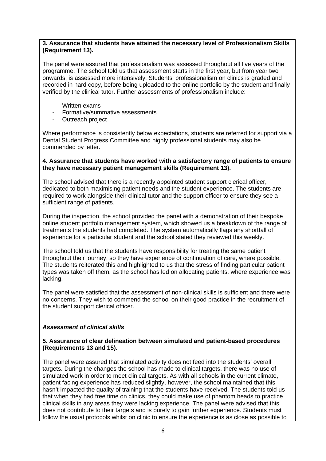#### **3. Assurance that students have attained the necessary level of Professionalism Skills (Requirement 13).**

The panel were assured that professionalism was assessed throughout all five years of the programme. The school told us that assessment starts in the first year, but from year two onwards, is assessed more intensively. Students' professionalism on clinics is graded and recorded in hard copy, before being uploaded to the online portfolio by the student and finally verified by the clinical tutor. Further assessments of professionalism include:

- Written exams
- Formative/summative assessments
- Outreach project

Where performance is consistently below expectations, students are referred for support via a Dental Student Progress Committee and highly professional students may also be commended by letter.

#### **4. Assurance that students have worked with a satisfactory range of patients to ensure they have necessary patient management skills (Requirement 13).**

The school advised that there is a recently appointed student support clerical officer, dedicated to both maximising patient needs and the student experience. The students are required to work alongside their clinical tutor and the support officer to ensure they see a sufficient range of patients.

During the inspection, the school provided the panel with a demonstration of their bespoke online student portfolio management system, which showed us a breakdown of the range of treatments the students had completed. The system automatically flags any shortfall of experience for a particular student and the school stated they reviewed this weekly.

The school told us that the students have responsibility for treating the same patient throughout their journey, so they have experience of continuation of care, where possible. The students reiterated this and highlighted to us that the stress of finding particular patient types was taken off them, as the school has led on allocating patients, where experience was lacking.

The panel were satisfied that the assessment of non-clinical skills is sufficient and there were no concerns. They wish to commend the school on their good practice in the recruitment of the student support clerical officer.

#### *Assessment of clinical skills*

#### **5. Assurance of clear delineation between simulated and patient-based procedures (Requirements 13 and 15).**

The panel were assured that simulated activity does not feed into the students' overall targets. During the changes the school has made to clinical targets, there was no use of simulated work in order to meet clinical targets. As with all schools in the current climate, patient facing experience has reduced slightly, however, the school maintained that this hasn't impacted the quality of training that the students have received. The students told us that when they had free time on clinics, they could make use of phantom heads to practice clinical skills in any areas they were lacking experience. The panel were advised that this does not contribute to their targets and is purely to gain further experience. Students must follow the usual protocols whilst on clinic to ensure the experience is as close as possible to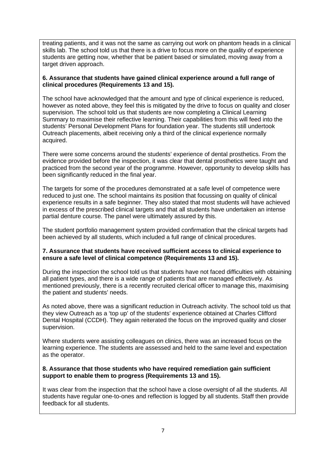treating patients, and it was not the same as carrying out work on phantom heads in a clinical skills lab. The school told us that there is a drive to focus more on the quality of experience students are getting now, whether that be patient based or simulated, moving away from a target driven approach.

#### **6. Assurance that students have gained clinical experience around a full range of clinical procedures (Requirements 13 and 15).**

The school have acknowledged that the amount and type of clinical experience is reduced, however as noted above, they feel this is mitigated by the drive to focus on quality and closer supervision. The school told us that students are now completing a Clinical Learning Summary to maximise their reflective learning. Their capabilities from this will feed into the students' Personal Development Plans for foundation year. The students still undertook Outreach placements, albeit receiving only a third of the clinical experience normally acquired.

There were some concerns around the students' experience of dental prosthetics. From the evidence provided before the inspection, it was clear that dental prosthetics were taught and practiced from the second year of the programme. However, opportunity to develop skills has been significantly reduced in the final year.

The targets for some of the procedures demonstrated at a safe level of competence were reduced to just one. The school maintains its position that focussing on quality of clinical experience results in a safe beginner. They also stated that most students will have achieved in excess of the prescribed clinical targets and that all students have undertaken an intense partial denture course. The panel were ultimately assured by this.

The student portfolio management system provided confirmation that the clinical targets had been achieved by all students, which included a full range of clinical procedures.

#### **7. Assurance that students have received sufficient access to clinical experience to ensure a safe level of clinical competence (Requirements 13 and 15).**

During the inspection the school told us that students have not faced difficulties with obtaining all patient types, and there is a wide range of patients that are managed effectively. As mentioned previously, there is a recently recruited clerical officer to manage this, maximising the patient and students' needs.

As noted above, there was a significant reduction in Outreach activity. The school told us that they view Outreach as a 'top up' of the students' experience obtained at Charles Clifford Dental Hospital (CCDH). They again reiterated the focus on the improved quality and closer supervision.

Where students were assisting colleagues on clinics, there was an increased focus on the learning experience. The students are assessed and held to the same level and expectation as the operator.

#### **8. Assurance that those students who have required remediation gain sufficient support to enable them to progress (Requirements 13 and 15).**

It was clear from the inspection that the school have a close oversight of all the students. All students have regular one-to-ones and reflection is logged by all students. Staff then provide feedback for all students.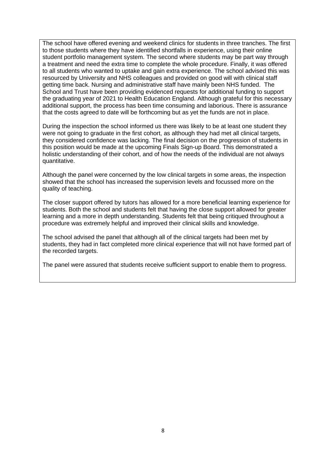The school have offered evening and weekend clinics for students in three tranches. The first to those students where they have identified shortfalls in experience, using their online student portfolio management system. The second where students may be part way through a treatment and need the extra time to complete the whole procedure. Finally, it was offered to all students who wanted to uptake and gain extra experience. The school advised this was resourced by University and NHS colleagues and provided on good will with clinical staff getting time back. Nursing and administrative staff have mainly been NHS funded. The School and Trust have been providing evidenced requests for additional funding to support the graduating year of 2021 to Health Education England. Although grateful for this necessary additional support, the process has been time consuming and laborious. There is assurance that the costs agreed to date will be forthcoming but as yet the funds are not in place.

During the inspection the school informed us there was likely to be at least one student they were not going to graduate in the first cohort, as although they had met all clinical targets, they considered confidence was lacking. The final decision on the progression of students in this position would be made at the upcoming Finals Sign-up Board. This demonstrated a holistic understanding of their cohort, and of how the needs of the individual are not always quantitative.

Although the panel were concerned by the low clinical targets in some areas, the inspection showed that the school has increased the supervision levels and focussed more on the quality of teaching.

The closer support offered by tutors has allowed for a more beneficial learning experience for students. Both the school and students felt that having the close support allowed for greater learning and a more in depth understanding. Students felt that being critiqued throughout a procedure was extremely helpful and improved their clinical skills and knowledge.

The school advised the panel that although all of the clinical targets had been met by students, they had in fact completed more clinical experience that will not have formed part of the recorded targets.

The panel were assured that students receive sufficient support to enable them to progress.